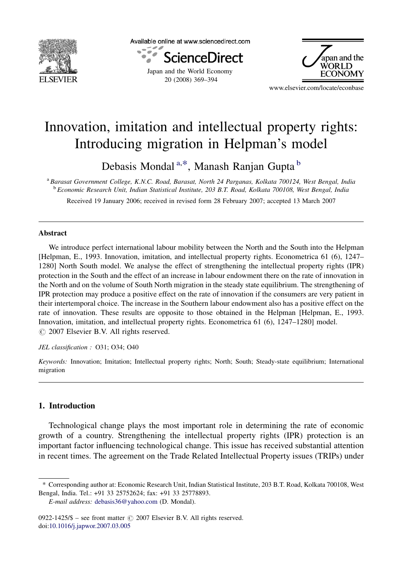

Available online at www.sciencedirect.com



20 (2008) 369–394



www.elsevier.com/locate/econbase

## Innovation, imitation and intellectual property rights: Introducing migration in Helpman's model

Debasis Mondal<sup>a,\*</sup>, Manash Ranjan Gupta <sup>b</sup>

<sup>a</sup> Barasat Government College, K.N.C. Road, Barasat, North 24 Parganas, Kolkata 700124, West Bengal, India <sup>b</sup> Economic Research Unit, Indian Statistical Institute, 203 B.T. Road, Kolkata 700108, West Bengal, India

Received 19 January 2006; received in revised form 28 February 2007; accepted 13 March 2007

#### Abstract

We introduce perfect international labour mobility between the North and the South into the Helpman [Helpman, E., 1993. Innovation, imitation, and intellectual property rights. Econometrica 61 (6), 1247– 1280] North South model. We analyse the effect of strengthening the intellectual property rights (IPR) protection in the South and the effect of an increase in labour endowment there on the rate of innovation in the North and on the volume of South North migration in the steady state equilibrium. The strengthening of IPR protection may produce a positive effect on the rate of innovation if the consumers are very patient in their intertemporal choice. The increase in the Southern labour endowment also has a positive effect on the rate of innovation. These results are opposite to those obtained in the Helpman [Helpman, E., 1993. Innovation, imitation, and intellectual property rights. Econometrica 61 (6), 1247–1280] model.  $\odot$  2007 Elsevier B.V. All rights reserved.

#### JEL classification : O31; O34; O40

Keywords: Innovation; Imitation; Intellectual property rights; North; South; Steady-state equilibrium; International migration

### 1. Introduction

Technological change plays the most important role in determining the rate of economic growth of a country. Strengthening the intellectual property rights (IPR) protection is an important factor influencing technological change. This issue has received substantial attention in recent times. The agreement on the Trade Related Intellectual Property issues (TRIPs) under

<sup>\*</sup> Corresponding author at: Economic Research Unit, Indian Statistical Institute, 203 B.T. Road, Kolkata 700108, West Bengal, India. Tel.: +91 33 25752624; fax: +91 33 25778893.

E-mail address: [debasis36@yahoo.com](mailto:debasis36@yahoo.com) (D. Mondal).

<sup>0922-1425/\$ –</sup> see front matter  $\odot$  2007 Elsevier B.V. All rights reserved. doi:[10.1016/j.japwor.2007.03.005](http://dx.doi.org/10.1016/j.japwor.2007.03.005)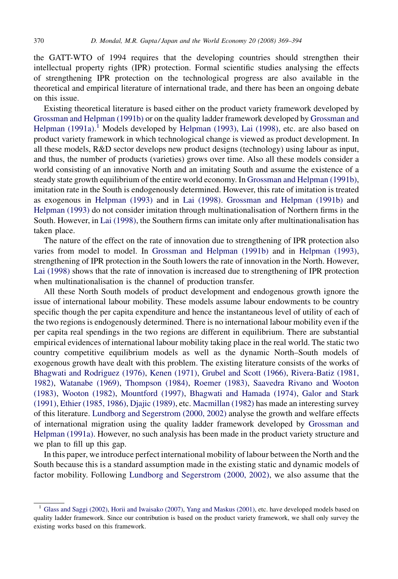the GATT-WTO of 1994 requires that the developing countries should strengthen their intellectual property rights (IPR) protection. Formal scientific studies analysing the effects of strengthening IPR protection on the technological progress are also available in the theoretical and empirical literature of international trade, and there has been an ongoing debate on this issue.

Existing theoretical literature is based either on the product variety framework developed by [Grossman and Helpman \(1991b\)](#page--1-0) or on the quality ladder framework developed by [Grossman and](#page--1-0) [Helpman \(1991a\).](#page--1-0)<sup>1</sup> Models developed by [Helpman \(1993\)](#page--1-0), [Lai \(1998\)](#page--1-0), etc. are also based on product variety framework in which technological change is viewed as product development. In all these models, R&D sector develops new product designs (technology) using labour as input, and thus, the number of products (varieties) grows over time. Also all these models consider a world consisting of an innovative North and an imitating South and assume the existence of a steady state growth equilibrium of the entire world economy. In [Grossman and Helpman \(1991b\),](#page--1-0) imitation rate in the South is endogenously determined. However, this rate of imitation is treated as exogenous in [Helpman \(1993\)](#page--1-0) and in [Lai \(1998\).](#page--1-0) [Grossman and Helpman \(1991b\)](#page--1-0) and [Helpman \(1993\)](#page--1-0) do not consider imitation through multinationalisation of Northern firms in the South. However, in [Lai \(1998\)](#page--1-0), the Southern firms can imitate only after multinationalisation has taken place.

The nature of the effect on the rate of innovation due to strengthening of IPR protection also varies from model to model. In [Grossman and Helpman \(1991b\)](#page--1-0) and in [Helpman \(1993\),](#page--1-0) strengthening of IPR protection in the South lowers the rate of innovation in the North. However, [Lai \(1998\)](#page--1-0) shows that the rate of innovation is increased due to strengthening of IPR protection when multinationalisation is the channel of production transfer.

All these North South models of product development and endogenous growth ignore the issue of international labour mobility. These models assume labour endowments to be country specific though the per capita expenditure and hence the instantaneous level of utility of each of the two regions is endogenously determined. There is no international labour mobility even if the per capita real spendings in the two regions are different in equilibrium. There are substantial empirical evidences of international labour mobility taking place in the real world. The static two country competitive equilibrium models as well as the dynamic North–South models of exogenous growth have dealt with this problem. The existing literature consists of the works of [Bhagwati and Rodriguez \(1976\)](#page--1-0), [Kenen \(1971\),](#page--1-0) [Grubel and Scott \(1966\),](#page--1-0) [Rivera-Batiz \(1981,](#page--1-0) [1982\),](#page--1-0) [Watanabe \(1969\)](#page--1-0), [Thompson \(1984\)](#page--1-0), [Roemer \(1983\),](#page--1-0) [Saavedra Rivano and Wooton](#page--1-0) [\(1983\)](#page--1-0), [Wooton \(1982\)](#page--1-0), [Mountford \(1997\)](#page--1-0), [Bhagwati and Hamada \(1974\),](#page--1-0) [Galor and Stark](#page--1-0) [\(1991\)](#page--1-0), [Ethier \(1985, 1986\)](#page--1-0), [Djajic \(1989\)](#page--1-0), etc. [Macmillan \(1982\)](#page--1-0) has made an interesting survey of this literature. [Lundborg and Segerstrom \(2000, 2002\)](#page--1-0) analyse the growth and welfare effects of international migration using the quality ladder framework developed by [Grossman and](#page--1-0) [Helpman \(1991a\).](#page--1-0) However, no such analysis has been made in the product variety structure and we plan to fill up this gap.

In this paper, we introduce perfect international mobility of labour between the North and the South because this is a standard assumption made in the existing static and dynamic models of factor mobility. Following [Lundborg and Segerstrom \(2000, 2002\),](#page--1-0) we also assume that the

<sup>1</sup> [Glass and Saggi \(2002\)](#page--1-0), [Horii and Iwaisako \(2007\)](#page--1-0), [Yang and Maskus \(2001\),](#page--1-0) etc. have developed models based on quality ladder framework. Since our contribution is based on the product variety framework, we shall only survey the existing works based on this framework.